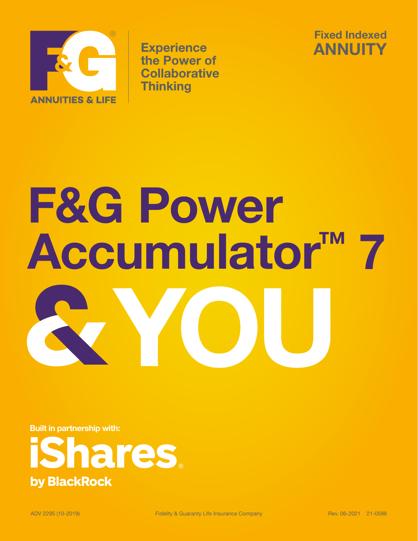

**Experience** the Power of **Collaborative Thinking** 



# **F&G Power Accumulator™ 7 YOU**

**Built in partnership with:**

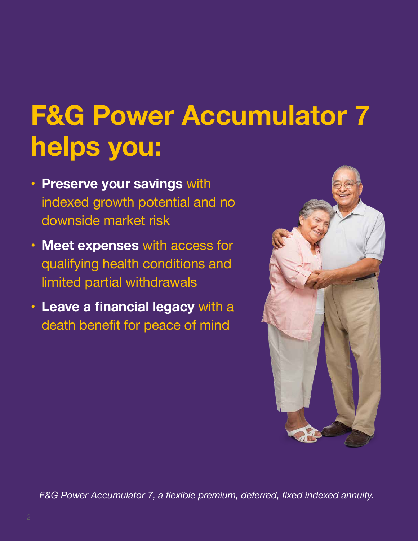# **F&G Power Accumulator 7 helps you:**

- **• Preserve your savings** with indexed growth potential and no downside market risk
- **• Meet expenses** with access for qualifying health conditions and limited partial withdrawals
- **• Leave a financial legacy** with a death benefit for peace of mind



*F&G Power Accumulator 7, a flexible premium, deferred, fixed indexed annuity.*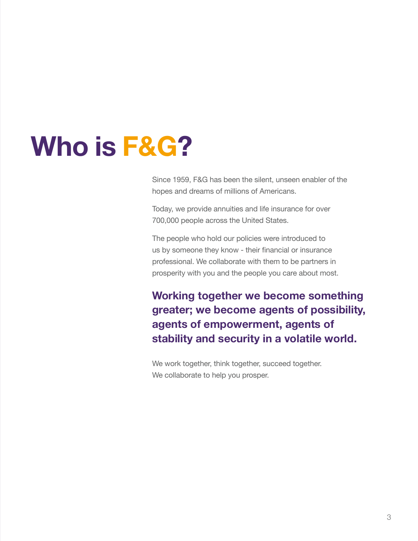# **Who is F&G?**

Since 1959, F&G has been the silent, unseen enabler of the hopes and dreams of millions of Americans.

Today, we provide annuities and life insurance for over 700,000 people across the United States.

The people who hold our policies were introduced to us by someone they know - their financial or insurance professional. We collaborate with them to be partners in prosperity with you and the people you care about most.

**Working together we become something greater; we become agents of possibility, agents of empowerment, agents of stability and security in a volatile world.**

We work together, think together, succeed together. We collaborate to help you prosper.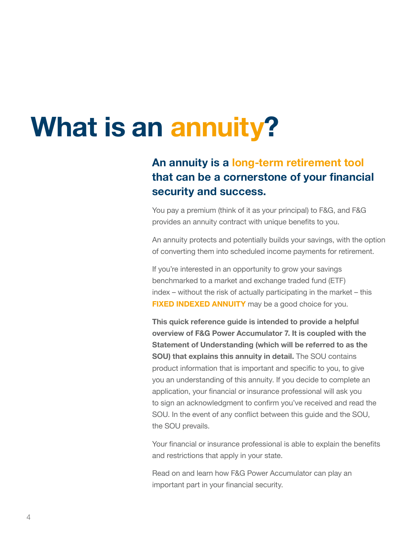### **What is an annuity?**

#### **An annuity is a long-term retirement tool that can be a cornerstone of your financial security and success.**

You pay a premium (think of it as your principal) to F&G, and F&G provides an annuity contract with unique benefits to you.

An annuity protects and potentially builds your savings, with the option of converting them into scheduled income payments for retirement.

If you're interested in an opportunity to grow your savings benchmarked to a market and exchange traded fund (ETF) index – without the risk of actually participating in the market – this **FIXED INDEXED ANNUITY** may be a good choice for you.

**This quick reference guide is intended to provide a helpful overview of F&G Power Accumulator 7. It is coupled with the Statement of Understanding (which will be referred to as the SOU) that explains this annuity in detail.** The SOU contains product information that is important and specific to you, to give you an understanding of this annuity. If you decide to complete an application, your financial or insurance professional will ask you to sign an acknowledgment to confirm you've received and read the SOU. In the event of any conflict between this guide and the SOU, the SOU prevails.

Your financial or insurance professional is able to explain the benefits and restrictions that apply in your state.

Read on and learn how F&G Power Accumulator can play an important part in your financial security.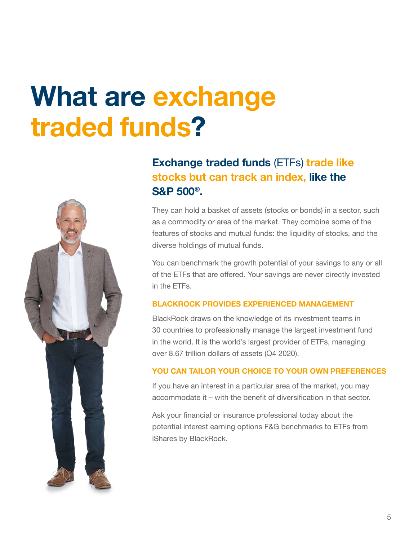# **What are exchange traded funds?**



#### **Exchange traded funds** (ETFs) **trade like stocks but can track an index, like the S&P 500®.**

They can hold a basket of assets (stocks or bonds) in a sector, such as a commodity or area of the market. They combine some of the features of stocks and mutual funds: the liquidity of stocks, and the diverse holdings of mutual funds.

You can benchmark the growth potential of your savings to any or all of the ETFs that are offered. Your savings are never directly invested in the ETFs.

#### **BLACKROCK PROVIDES EXPERIENCED MANAGEMENT**

BlackRock draws on the knowledge of its investment teams in 30 countries to professionally manage the largest investment fund in the world. It is the world's largest provider of ETFs, managing over 8.67 trillion dollars of assets (Q4 2020).

#### **YOU CAN TAILOR YOUR CHOICE TO YOUR OWN PREFERENCES**

If you have an interest in a particular area of the market, you may accommodate it – with the benefit of diversification in that sector.

Ask your financial or insurance professional today about the potential interest earning options F&G benchmarks to ETFs from iShares by BlackRock.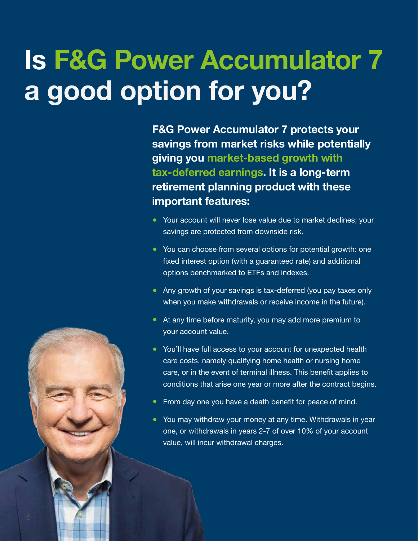# **Is F&G Power Accumulator 7 a good option for you?**

**F&G Power Accumulator 7 protects your savings from market risks while potentially giving you market-based growth with tax-deferred earnings. It is a long-term retirement planning product with these important features:**

- **•** Your account will never lose value due to market declines; your savings are protected from downside risk.
- **•** You can choose from several options for potential growth: one fixed interest option (with a guaranteed rate) and additional options benchmarked to ETFs and indexes.
- **•** Any growth of your savings is tax-deferred (you pay taxes only when you make withdrawals or receive income in the future).
- **•** At any time before maturity, you may add more premium to your account value.
- **•** You'll have full access to your account for unexpected health care costs, namely qualifying home health or nursing home care, or in the event of terminal illness. This benefit applies to conditions that arise one year or more after the contract begins.
- **•** From day one you have a death benefit for peace of mind.
- **•** You may withdraw your money at any time. Withdrawals in year one, or withdrawals in years 2-7 of over 10% of your account value, will incur withdrawal charges.

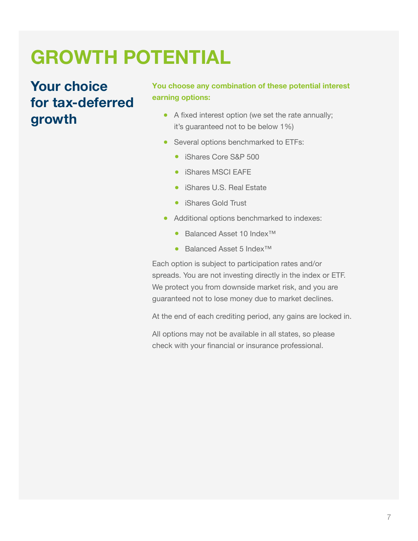### **GROWTH POTENTIAL**

#### **Your choice for tax-deferred growth**

#### **You choose any combination of these potential interest earning options:**

- **•** A fixed interest option (we set the rate annually; it's guaranteed not to be below 1%)
- Several options benchmarked to ETFs:
	- **•** iShares Core S&P 500
	- iShares MSCI EAFE
	- iShares U.S. Real Estate
	- iShares Gold Trust
- Additional options benchmarked to indexes:
	- Balanced Asset 10 Index™
	- Balanced Asset 5 Index™

Each option is subject to participation rates and/or spreads. You are not investing directly in the index or ETF. We protect you from downside market risk, and you are guaranteed not to lose money due to market declines.

At the end of each crediting period, any gains are locked in.

All options may not be available in all states, so please check with your financial or insurance professional.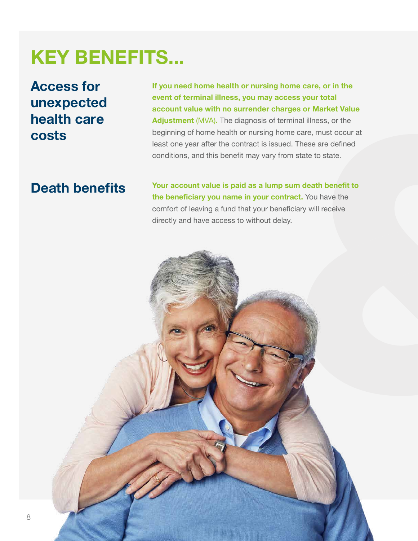### **KEY BENEFITS...**

**Access for unexpected health care costs**

**If you need home health or nursing home care, or in the event of terminal illness, you may access your total account value with no surrender charges or Market Value Adjustment** (MVA)**.** The diagnosis of terminal illness, or the beginning of home health or nursing home care, must occur at least one year after the contract is issued. These are defined conditions, and this benefit may vary from state to state.

#### **Death benefits**

**Your account value is paid as a lump sum death benefit to the beneficiary you name in your contract.** You have the comfort of leaving a fund that your beneficiary will receive directly and have access to without delay.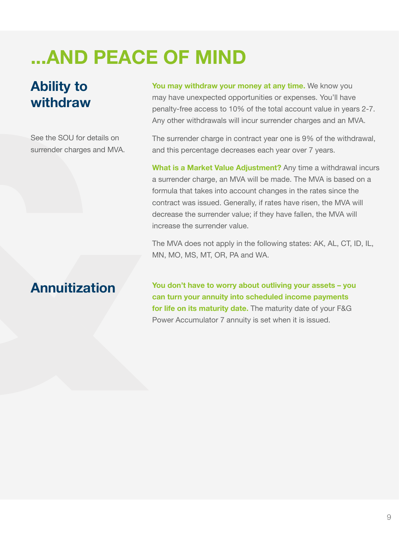### **...AND PEACE OF MIND**

#### **Ability to withdraw**

See the SOU for details on surrender charges and MVA. **You may withdraw your money at any time.** We know you may have unexpected opportunities or expenses. You'll have penalty-free access to 10% of the total account value in years 2-7. Any other withdrawals will incur surrender charges and an MVA.

The surrender charge in contract year one is 9% of the withdrawal, and this percentage decreases each year over 7 years.

**What is a Market Value Adjustment?** Any time a withdrawal incurs a surrender charge, an MVA will be made. The MVA is based on a formula that takes into account changes in the rates since the contract was issued. Generally, if rates have risen, the MVA will decrease the surrender value; if they have fallen, the MVA will increase the surrender value.

The MVA does not apply in the following states: AK, AL, CT, ID, IL, MN, MO, MS, MT, OR, PA and WA.

#### **Annuitization**

**You don't have to worry about outliving your assets – you can turn your annuity into scheduled income payments for life on its maturity date.** The maturity date of your F&G Power Accumulator 7 annuity is set when it is issued.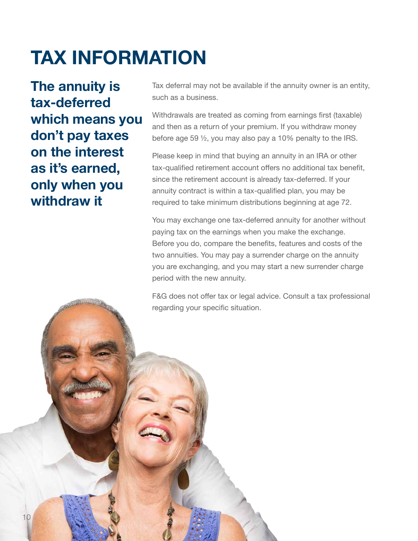### **TAX INFORMATION**

**The annuity is tax-deferred which means you don't pay taxes on the interest as it's earned, only when you withdraw it**

Tax deferral may not be available if the annuity owner is an entity, such as a business.

Withdrawals are treated as coming from earnings first (taxable) and then as a return of your premium. If you withdraw money before age 59 ½, you may also pay a 10% penalty to the IRS.

Please keep in mind that buying an annuity in an IRA or other tax-qualified retirement account offers no additional tax benefit, since the retirement account is already tax-deferred. If your annuity contract is within a tax-qualified plan, you may be required to take minimum distributions beginning at age 72.

You may exchange one tax-deferred annuity for another without paying tax on the earnings when you make the exchange. Before you do, compare the benefits, features and costs of the two annuities. You may pay a surrender charge on the annuity you are exchanging, and you may start a new surrender charge period with the new annuity.

F&G does not offer tax or legal advice. Consult a tax professional regarding your specific situation.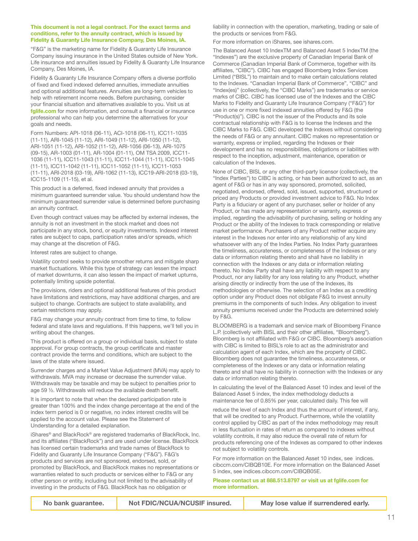#### **This document is not a legal contract. For the exact terms and conditions, refer to the annuity contract, which is issued by Fidelity & Guaranty Life Insurance Company, Des Moines, IA.**

"F&G" is the marketing name for Fidelity & Guaranty Life Insurance Company issuing insurance in the United States outside of New York. Life insurance and annuities issued by Fidelity & Guaranty Life Insurance Company, Des Moines, IA.

Fidelity & Guaranty Life Insurance Company offers a diverse portfolio of fixed and fixed indexed deferred annuities, immediate annuities and optional additional features. Annuities are long-term vehicles to help with retirement income needs. Before purchasing, consider your financial situation and alternatives available to you. Visit us at **[fglife.com](http://fglife.com)** for more information, and consult a financial or insurance professional who can help you determine the alternatives for your goals and needs.

Form Numbers: API-1018 (06-11), ACI-1018 (06-11), ICC11-1035 (11-11), ARI-1045 (11-12), ARI-1049 (11-12), ARI-1050 (11-12), ARI-1051 (11-12), ARI-1052 (11-12), ARI-1056 (06-13), ARI-1075 (09-15), AR-1003 (01-11), AR-1004 (01-11), OM TSA 2009, ICC11- 1036 (11-11), ICC11-1043 (11-11), ICC11-1044 (11-11), ICC11-1045 (11-11), ICC11-1042 (11-11), ICC11-1052 (11-11), ICC11-1053 (11-11), ARI-2018 (03-19), ARI-1062 (11-13), ICC19-ARI-2018 (03-19), ICC15-1109 (11-15), et al.

This product is a deferred, fixed indexed annuity that provides a minimum guaranteed surrender value. You should understand how the minimum guaranteed surrender value is determined before purchasing an annuity contract.

Even though contract values may be affected by external indexes, the annuity is not an investment in the stock market and does not participate in any stock, bond, or equity investments. Indexed interest rates are subject to caps, participation rates and/or spreads, which may change at the discretion of F&G.

Interest rates are subject to change.

Volatility control seeks to provide smoother returns and mitigate sharp market fluctuations. While this type of strategy can lessen the impact of market downturns, it can also lessen the impact of market upturns, potentially limiting upside potential.

The provisions, riders and optional additional features of this product have limitations and restrictions, may have additional charges, and are subject to change. Contracts are subject to state availability, and certain restrictions may apply.

F&G may change your annuity contract from time to time, to follow federal and state laws and regulations. If this happens, we'll tell you in writing about the changes.

This product is offered on a group or individual basis, subject to state approval. For group contracts, the group certificate and master contract provide the terms and conditions, which are subject to the laws of the state where issued.

Surrender charges and a Market Value Adjustment (MVA) may apply to withdrawals. MVA may increase or decrease the surrender value. Withdrawals may be taxable and may be subject to penalties prior to age 59 ½. Withdrawals will reduce the available death benefit.

It is important to note that when the declared participation rate is greater than 100% and the index change percentage at the end of the index term period is 0 or negative, no index interest credits will be applied to the account value. Please see the Statement of Understanding for a detailed explanation.

iShares® and BlackRock® are registered trademarks of BlackRock, Inc. and its affiliates ("BlackRock") and are used under license. BlackRock has licensed certain trademarks and trade names of BlackRock to Fidelity and Guaranty Life Insurance Company ("F&G"). F&G's products and services are not sponsored, endorsed, sold, or promoted by BlackRock, and BlackRock makes no representations or warranties related to such products or services either to F&G or any other person or entity, including but not limited to the advisability of investing in the products of F&G. BlackRock has no obligation or

liability in connection with the operation, marketing, trading or sale of the products or services from F&G.

For more information on iShares, se[e ishares.com](https://ishares.com).

The Balanced Asset 10 IndexTM and Balanced Asset 5 IndexTM (the "Indexes") are the exclusive property of Canadian Imperial Bank of Commerce (Canadian Imperial Bank of Commerce, together with its affiliates, "CIBC"). CIBC has engaged Bloomberg Index Services Limited ("BISL") to maintain and to make certain calculations related to the Indexes. "Canadian Imperial Bank of Commerce", "CIBC" and "Index(es)" (collectively, the "CIBC Marks") are trademarks or service marks of CIBC. CIBC has licensed use of the Indexes and the CIBC Marks to Fidelity and Guaranty Life Insurance Company ("F&G") for use in one or more fixed indexed annuities offered by F&G (the "Product(s)"). CIBC is not the issuer of the Products and its sole contractual relationship with F&G is to license the Indexes and the CIBC Marks to F&G. CIBC developed the Indexes without considering the needs of F&G or any annuitant. CIBC makes no representation or warranty, express or implied, regarding the Indexes or their development and has no responsibilities, obligations or liabilities with respect to the inception, adjustment, maintenance, operation or calculation of the Indexes.

None of CIBC, BISL or any other third-party licensor (collectively, the "Index Parties") to CIBC is acting, or has been authorized to act, as an agent of F&G or has in any way sponsored, promoted, solicited, negotiated, endorsed, offered, sold, issued, supported, structured or priced any Products or provided investment advice to F&G. No Index Party is a fiduciary or agent of any purchaser, seller or holder of any Product, or has made any representation or warranty, express or implied, regarding the advisability of purchasing, selling or holding any Product or the ability of the Indexes to track corresponding or relative market performance. Purchasers of any Product neither acquire any interest in the Indexes nor enter into any relationship of any kind whatsoever with any of the Index Parties. No Index Party guarantees the timeliness, accurateness, or completeness of the Indexes or any data or information relating thereto and shall have no liability in connection with the Indexes or any data or information relating thereto. No Index Party shall have any liability with respect to any Product, nor any liability for any loss relating to any Product, whether arising directly or indirectly from the use of the Indexes, its methodologies or otherwise. The selection of an Index as a crediting option under any Product does not obligate F&G to invest annuity premiums in the components of such Index. Any obligation to invest annuity premiums received under the Products are determined solely by F&G.

BLOOMBERG is a trademark and service mark of Bloomberg Finance L.P. (collectively with BISL and their other affiliates, "Bloomberg"). Bloomberg is not affiliated with F&G or CIBC. Bloomberg's association with CIBC is limited to BISL's role to act as the administrator and calculation agent of each Index, which are the property of CIBC. Bloomberg does not guarantee the timeliness, accurateness, or completeness of the Indexes or any data or information relating thereto and shall have no liability in connection with the Indexes or any data or information relating thereto.

In calculating the level of the Balanced Asset 10 index and level of the Balanced Asset 5 index, the index methodology deducts a maintenance fee of 0.85% per year, calculated daily. This fee will

reduce the level of each Index and thus the amount of interest, if any, that will be credited to any Product. Furthermore, while the volatility control applied by CIBC as part of the index methodology may result in less fluctuation in rates of return as compared to indexes without volatility controls, it may also reduce the overall rate of return for products referencing one of the Indexes as compared to other indexes not subject to volatility controls.

For more information on the Balanced Asset 10 index, see indices. cibccm.com/CIBQB10E. For more information on the Balanced Asset 5 index, see indices.cibccm.com/CIBQB05E.

**Please contact us at 888.513.8797 or visit us at fglife.com for more information.**